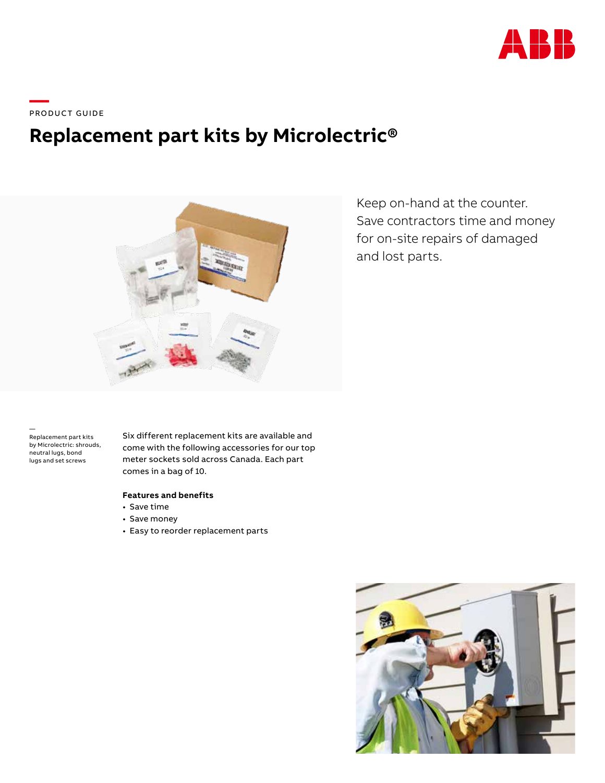

\_\_\_\_<br>PRODUCT GUIDE

# **Replacement part kits by Microlectric®**



Keep on-hand at the counter. Save contractors time and money for on-site repairs of damaged and lost parts.

— Replacement part kits by Microlectric: shrouds, neutral lugs, bond lugs and set screws

Six different replacement kits are available and come with the following accessories for our top meter sockets sold across Canada. Each part comes in a bag of 10.

### **Features and benefits**

- Save time
- Save money
- Easy to reorder replacement parts